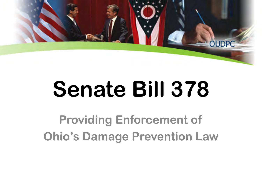

# **Senate Bill 378**

**Providing Enforcement of Ohio's Damage Prevention Law**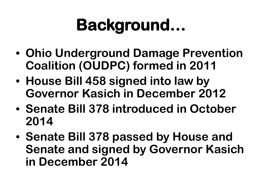## **Background…**

- **Ohio Underground Damage Prevention Coalition (OUDPC) formed in 2011**
- **House Bill 458 signed into law by Governor Kasich in December 2012**
- **Senate Bill 378 introduced in October 2014**
- **Senate Bill 378 passed by House and Senate and signed by Governor Kasich in December 2014**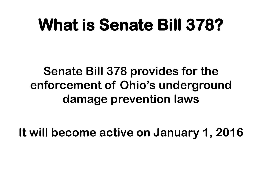#### **What is Senate Bill 378?**

#### **Senate Bill 378 provides for the enforcement of Ohio's underground damage prevention laws**

**It will become active on January 1, 2016**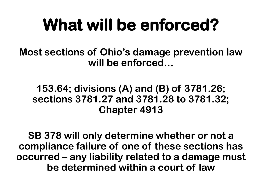### **What will be enforced?**

**Most sections of Ohio's damage prevention law will be enforced…**

#### **153.64; divisions (A) and (B) of 3781.26; sections 3781.27 and 3781.28 to 3781.32; Chapter 4913**

**SB 378 will only determine whether or not a compliance failure of one of these sections has occurred – any liability related to a damage must be determined within a court of law**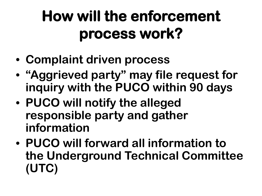#### **How will the enforcement process work?**

- **Complaint driven process**
- **"Aggrieved party" may file request for inquiry with the PUCO within 90 days**
- **PUCO will notify the alleged responsible party and gather information**
- **PUCO will forward all information to the Underground Technical Committee (UTC)**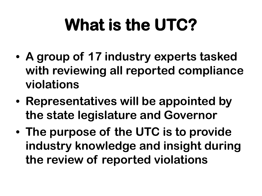# **What is the UTC?**

- **A group of 17 industry experts tasked with reviewing all reported compliance violations**
- **Representatives will be appointed by the state legislature and Governor**
- **The purpose of the UTC is to provide industry knowledge and insight during the review of reported violations**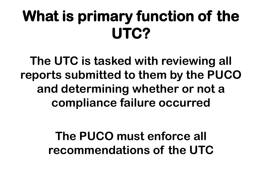#### **What is primary function of the UTC?**

**The UTC is tasked with reviewing all reports submitted to them by the PUCO and determining whether or not a compliance failure occurred**

> **The PUCO must enforce all recommendations of the UTC**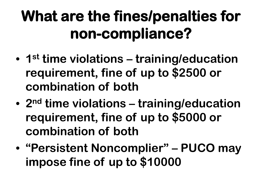#### **What are the fines/penalties for non-compliance?**

- **1st time violations training/education requirement, fine of up to \$2500 or combination of both**
- **2nd time violations training/education requirement, fine of up to \$5000 or combination of both**
- **"Persistent Noncomplier" – PUCO may impose fine of up to \$10000**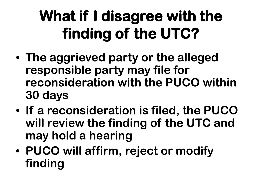#### **What if I disagree with the finding of the UTC?**

- **The aggrieved party or the alleged responsible party may file for reconsideration with the PUCO within 30 days**
- **If a reconsideration is filed, the PUCO will review the finding of the UTC and may hold a hearing**
- **PUCO will affirm, reject or modify finding**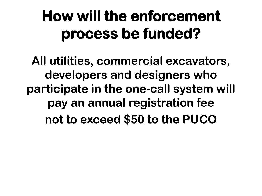#### **How will the enforcement process be funded?**

**All utilities, commercial excavators, developers and designers who participate in the one-call system will pay an annual registration fee not to exceed \$50 to the PUCO**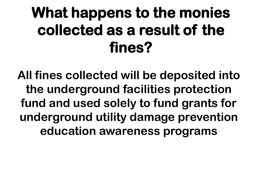#### **What happens to the monies collected as a result of the fines?**

**All fines collected will be deposited into the underground facilities protection fund and used solely to fund grants for underground utility damage prevention education awareness programs**